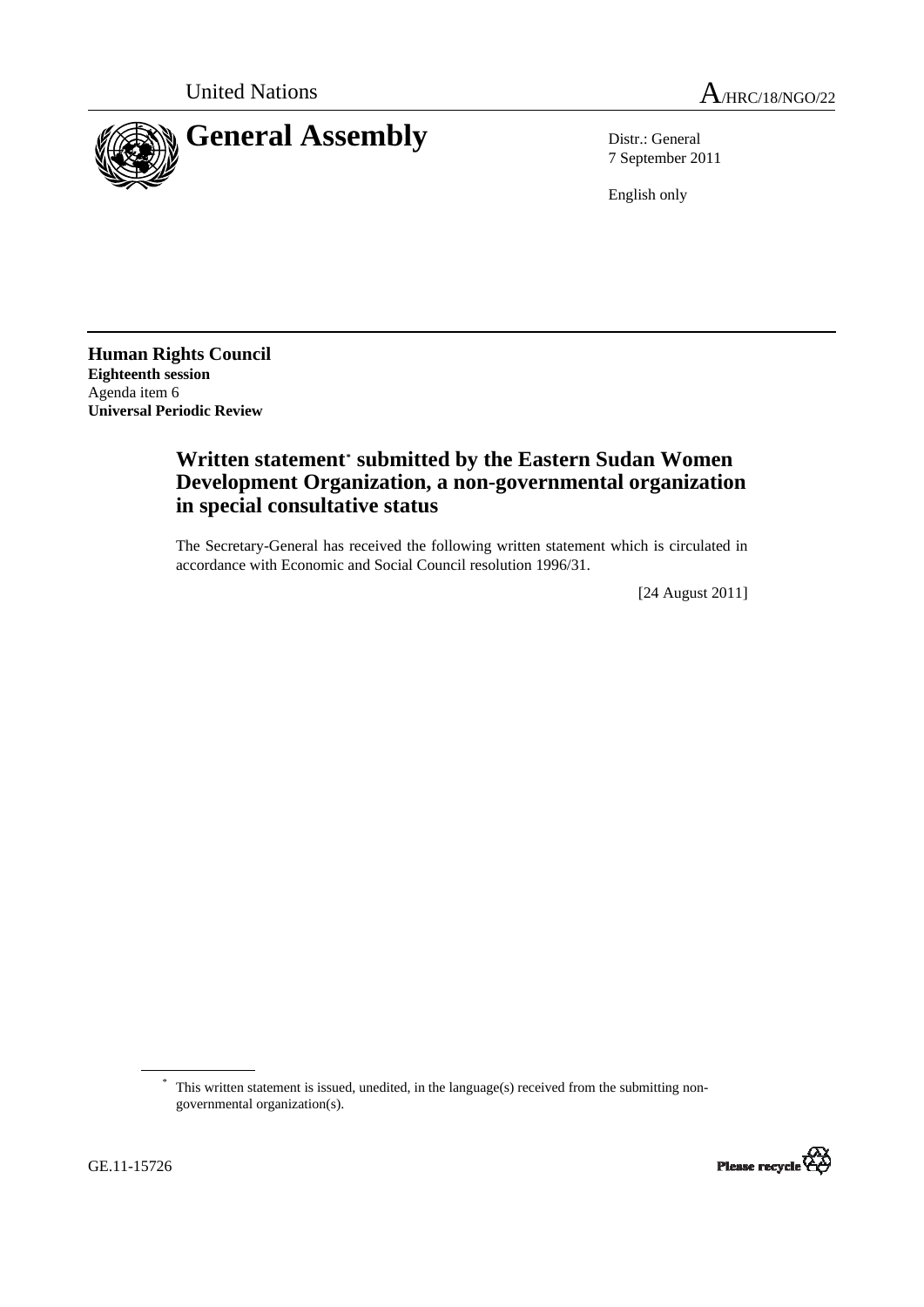



7 September 2011

English only

**Human Rights Council Eighteenth session**  Agenda item 6 **Universal Periodic Review** 

## **Written statement[\\*](#page-0-0) submitted by the Eastern Sudan Women Development Organization, a non-governmental organization in special consultative status**

The Secretary-General has received the following written statement which is circulated in accordance with Economic and Social Council resolution 1996/31.

[24 August 2011]

<span id="page-0-0"></span><sup>\*</sup> This written statement is issued, unedited, in the language(s) received from the submitting nongovernmental organization(s).